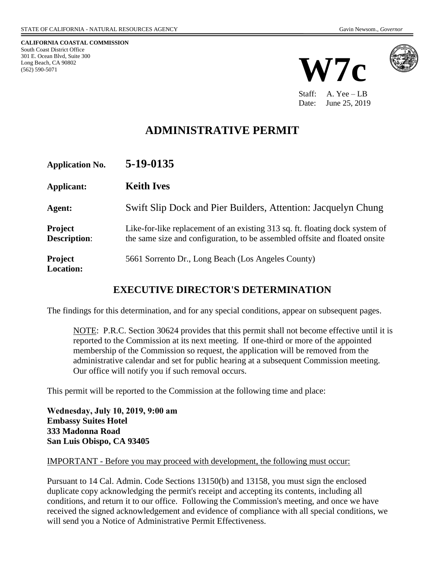**CALIFORNIA COASTAL COMMISSION** South Coast District Office 301 E. Ocean Blvd, Suite 300 Long Beach, CA 90802 (562) 590-5071





Staff: A. Yee – LB Date: June 25, 2019

# **ADMINISTRATIVE PERMIT**

| <b>Application No.</b>                | 5-19-0135                                                                                                                                                   |
|---------------------------------------|-------------------------------------------------------------------------------------------------------------------------------------------------------------|
| Applicant:                            | <b>Keith Ives</b>                                                                                                                                           |
| Agent:                                | Swift Slip Dock and Pier Builders, Attention: Jacquelyn Chung                                                                                               |
| <b>Project</b><br><b>Description:</b> | Like-for-like replacement of an existing 313 sq. ft. floating dock system of<br>the same size and configuration, to be assembled offsite and floated onsite |
| <b>Project</b><br><b>Location:</b>    | 5661 Sorrento Dr., Long Beach (Los Angeles County)                                                                                                          |

### **EXECUTIVE DIRECTOR'S DETERMINATION**

The findings for this determination, and for any special conditions, appear on subsequent pages.

NOTE: P.R.C. Section 30624 provides that this permit shall not become effective until it is reported to the Commission at its next meeting. If one-third or more of the appointed membership of the Commission so request, the application will be removed from the administrative calendar and set for public hearing at a subsequent Commission meeting. Our office will notify you if such removal occurs.

This permit will be reported to the Commission at the following time and place:

**Wednesday, July 10, 2019, 9:00 am Embassy Suites Hotel 333 Madonna Road San Luis Obispo, CA 93405**

#### IMPORTANT - Before you may proceed with development, the following must occur:

Pursuant to 14 Cal. Admin. Code Sections 13150(b) and 13158, you must sign the enclosed duplicate copy acknowledging the permit's receipt and accepting its contents, including all conditions, and return it to our office. Following the Commission's meeting, and once we have received the signed acknowledgement and evidence of compliance with all special conditions, we will send you a Notice of Administrative Permit Effectiveness.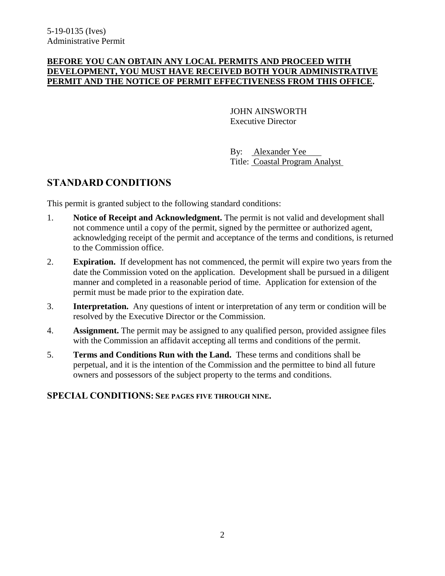#### **BEFORE YOU CAN OBTAIN ANY LOCAL PERMITS AND PROCEED WITH DEVELOPMENT, YOU MUST HAVE RECEIVED BOTH YOUR ADMINISTRATIVE PERMIT AND THE NOTICE OF PERMIT EFFECTIVENESS FROM THIS OFFICE.**

JOHN AINSWORTH Executive Director

By: Alexander Yee Title: Coastal Program Analyst

### **STANDARD CONDITIONS**

This permit is granted subject to the following standard conditions:

- 1. **Notice of Receipt and Acknowledgment.** The permit is not valid and development shall not commence until a copy of the permit, signed by the permittee or authorized agent, acknowledging receipt of the permit and acceptance of the terms and conditions, is returned to the Commission office.
- 2. **Expiration.** If development has not commenced, the permit will expire two years from the date the Commission voted on the application. Development shall be pursued in a diligent manner and completed in a reasonable period of time. Application for extension of the permit must be made prior to the expiration date.
- 3. **Interpretation.** Any questions of intent or interpretation of any term or condition will be resolved by the Executive Director or the Commission.
- 4. **Assignment.** The permit may be assigned to any qualified person, provided assignee files with the Commission an affidavit accepting all terms and conditions of the permit.
- 5. **Terms and Conditions Run with the Land.** These terms and conditions shall be perpetual, and it is the intention of the Commission and the permittee to bind all future owners and possessors of the subject property to the terms and conditions.

### **SPECIAL CONDITIONS: SEE PAGES FIVE THROUGH NINE.**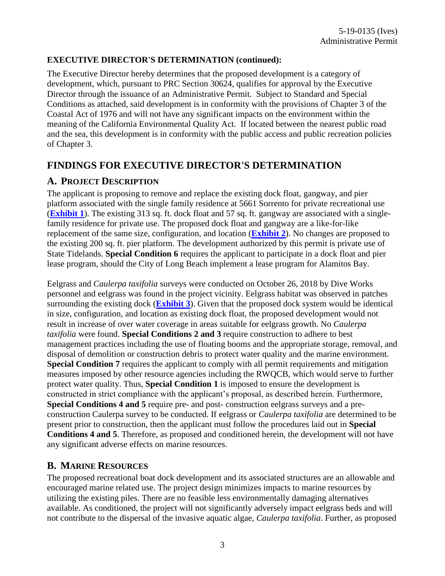### **EXECUTIVE DIRECTOR'S DETERMINATION (continued):**

The Executive Director hereby determines that the proposed development is a category of development, which, pursuant to PRC Section 30624, qualifies for approval by the Executive Director through the issuance of an Administrative Permit. Subject to Standard and Special Conditions as attached, said development is in conformity with the provisions of Chapter 3 of the Coastal Act of 1976 and will not have any significant impacts on the environment within the meaning of the California Environmental Quality Act. If located between the nearest public road and the sea, this development is in conformity with the public access and public recreation policies of Chapter 3.

## **FINDINGS FOR EXECUTIVE DIRECTOR'S DETERMINATION**

### **A. PROJECT DESCRIPTION**

The applicant is proposing to remove and replace the existing dock float, gangway, and pier platform associated with the single family residence at 5661 Sorrento for private recreational use (**[Exhibit 1](https://documents.coastal.ca.gov/reports/2019/7/W7c/W7c-7-2019-exhibits.pdf)**). The existing 313 sq. ft. dock float and 57 sq. ft. gangway are associated with a singlefamily residence for private use. The proposed dock float and gangway are a like-for-like replacement of the same size, configuration, and location (**[Exhibit 2](https://documents.coastal.ca.gov/reports/2019/7/W7c/W7c-7-2019-exhibits.pdf)**). No changes are proposed to the existing 200 sq. ft. pier platform. The development authorized by this permit is private use of State Tidelands. **Special Condition 6** requires the applicant to participate in a dock float and pier lease program, should the City of Long Beach implement a lease program for Alamitos Bay.

Eelgrass and *Caulerpa taxifolia* surveys were conducted on October 26, 2018 by Dive Works personnel and eelgrass was found in the project vicinity. Eelgrass habitat was observed in patches surrounding the existing dock (**[Exhibit 3](https://documents.coastal.ca.gov/reports/2019/7/W7c/W7c-7-2019-exhibits.pdf)**). Given that the proposed dock system would be identical in size, configuration, and location as existing dock float, the proposed development would not result in increase of over water coverage in areas suitable for eelgrass growth. No *Caulerpa taxifolia* were found. **Special Conditions 2 and 3** require construction to adhere to best management practices including the use of floating booms and the appropriate storage, removal, and disposal of demolition or construction debris to protect water quality and the marine environment. **Special Condition 7** requires the applicant to comply with all permit requirements and mitigation measures imposed by other resource agencies including the RWQCB, which would serve to further protect water quality. Thus, **Special Condition 1** is imposed to ensure the development is constructed in strict compliance with the applicant's proposal, as described herein. Furthermore, **Special Conditions 4 and 5** require pre- and post- construction eelgrass surveys and a preconstruction Caulerpa survey to be conducted. If eelgrass or *Caulerpa taxifolia* are determined to be present prior to construction, then the applicant must follow the procedures laid out in **Special Conditions 4 and 5**. Therefore, as proposed and conditioned herein, the development will not have any significant adverse effects on marine resources.

## **B. MARINE RESOURCES**

The proposed recreational boat dock development and its associated structures are an allowable and encouraged marine related use. The project design minimizes impacts to marine resources by utilizing the existing piles. There are no feasible less environmentally damaging alternatives available. As conditioned, the project will not significantly adversely impact eelgrass beds and will not contribute to the dispersal of the invasive aquatic algae, *Caulerpa taxifolia*. Further, as proposed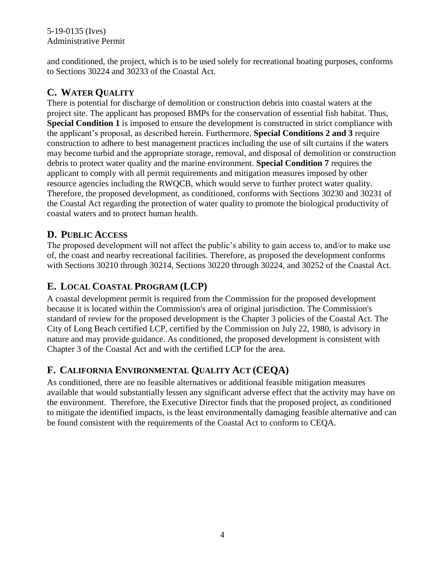### 5-19-0135 (Ives) Administrative Permit

and conditioned, the project, which is to be used solely for recreational boating purposes, conforms to Sections 30224 and 30233 of the Coastal Act.

## **C. WATER QUALITY**

There is potential for discharge of demolition or construction debris into coastal waters at the project site. The applicant has proposed BMPs for the conservation of essential fish habitat. Thus, **Special Condition 1** is imposed to ensure the development is constructed in strict compliance with the applicant's proposal, as described herein. Furthermore, **Special Conditions 2 and 3** require construction to adhere to best management practices including the use of silt curtains if the waters may become turbid and the appropriate storage, removal, and disposal of demolition or construction debris to protect water quality and the marine environment. **Special Condition 7** requires the applicant to comply with all permit requirements and mitigation measures imposed by other resource agencies including the RWQCB, which would serve to further protect water quality. Therefore, the proposed development, as conditioned, conforms with Sections 30230 and 30231 of the Coastal Act regarding the protection of water quality to promote the biological productivity of coastal waters and to protect human health.

### **D. PUBLIC ACCESS**

The proposed development will not affect the public's ability to gain access to, and/or to make use of, the coast and nearby recreational facilities. Therefore, as proposed the development conforms with Sections 30210 through 30214, Sections 30220 through 30224, and 30252 of the Coastal Act.

## **E. LOCAL COASTAL PROGRAM (LCP)**

A coastal development permit is required from the Commission for the proposed development because it is located within the Commission's area of original jurisdiction. The Commission's standard of review for the proposed development is the Chapter 3 policies of the Coastal Act. The City of Long Beach certified LCP, certified by the Commission on July 22, 1980, is advisory in nature and may provide guidance. As conditioned, the proposed development is consistent with Chapter 3 of the Coastal Act and with the certified LCP for the area.

## **F. CALIFORNIA ENVIRONMENTAL QUALITY ACT (CEQA)**

As conditioned, there are no feasible alternatives or additional feasible mitigation measures available that would substantially lessen any significant adverse effect that the activity may have on the environment. Therefore, the Executive Director finds that the proposed project, as conditioned to mitigate the identified impacts, is the least environmentally damaging feasible alternative and can be found consistent with the requirements of the Coastal Act to conform to CEQA.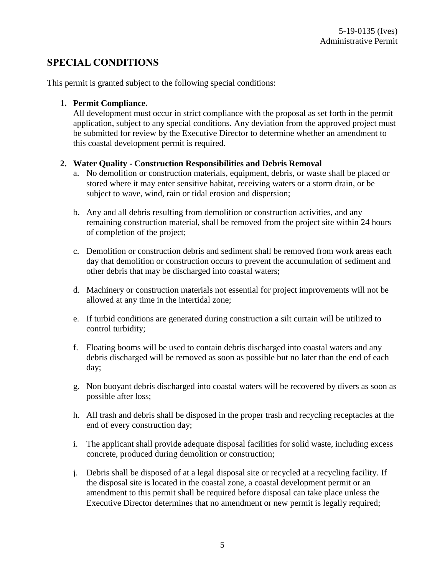### **SPECIAL CONDITIONS**

This permit is granted subject to the following special conditions:

#### **1. Permit Compliance.**

All development must occur in strict compliance with the proposal as set forth in the permit application, subject to any special conditions. Any deviation from the approved project must be submitted for review by the Executive Director to determine whether an amendment to this coastal development permit is required.

#### **2. Water Quality - Construction Responsibilities and Debris Removal**

- a. No demolition or construction materials, equipment, debris, or waste shall be placed or stored where it may enter sensitive habitat, receiving waters or a storm drain, or be subject to wave, wind, rain or tidal erosion and dispersion;
- b. Any and all debris resulting from demolition or construction activities, and any remaining construction material, shall be removed from the project site within 24 hours of completion of the project;
- c. Demolition or construction debris and sediment shall be removed from work areas each day that demolition or construction occurs to prevent the accumulation of sediment and other debris that may be discharged into coastal waters;
- d. Machinery or construction materials not essential for project improvements will not be allowed at any time in the intertidal zone;
- e. If turbid conditions are generated during construction a silt curtain will be utilized to control turbidity;
- f. Floating booms will be used to contain debris discharged into coastal waters and any debris discharged will be removed as soon as possible but no later than the end of each day;
- g. Non buoyant debris discharged into coastal waters will be recovered by divers as soon as possible after loss;
- h. All trash and debris shall be disposed in the proper trash and recycling receptacles at the end of every construction day;
- i. The applicant shall provide adequate disposal facilities for solid waste, including excess concrete, produced during demolition or construction;
- j. Debris shall be disposed of at a legal disposal site or recycled at a recycling facility. If the disposal site is located in the coastal zone, a coastal development permit or an amendment to this permit shall be required before disposal can take place unless the Executive Director determines that no amendment or new permit is legally required;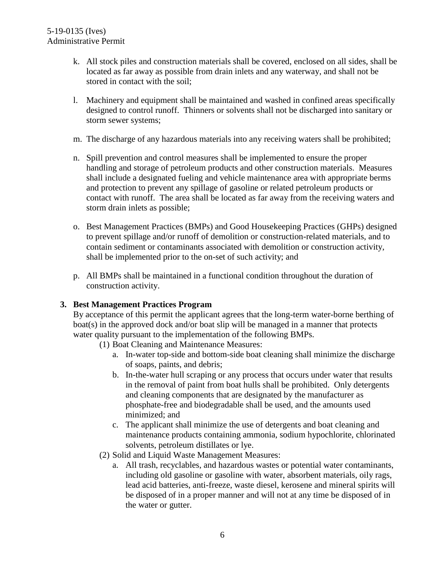- k. All stock piles and construction materials shall be covered, enclosed on all sides, shall be located as far away as possible from drain inlets and any waterway, and shall not be stored in contact with the soil;
- l. Machinery and equipment shall be maintained and washed in confined areas specifically designed to control runoff. Thinners or solvents shall not be discharged into sanitary or storm sewer systems;
- m. The discharge of any hazardous materials into any receiving waters shall be prohibited;
- n. Spill prevention and control measures shall be implemented to ensure the proper handling and storage of petroleum products and other construction materials. Measures shall include a designated fueling and vehicle maintenance area with appropriate berms and protection to prevent any spillage of gasoline or related petroleum products or contact with runoff. The area shall be located as far away from the receiving waters and storm drain inlets as possible;
- o. Best Management Practices (BMPs) and Good Housekeeping Practices (GHPs) designed to prevent spillage and/or runoff of demolition or construction-related materials, and to contain sediment or contaminants associated with demolition or construction activity, shall be implemented prior to the on-set of such activity; and
- p. All BMPs shall be maintained in a functional condition throughout the duration of construction activity.

### **3. Best Management Practices Program**

By acceptance of this permit the applicant agrees that the long-term water-borne berthing of boat(s) in the approved dock and/or boat slip will be managed in a manner that protects water quality pursuant to the implementation of the following BMPs.

- (1) Boat Cleaning and Maintenance Measures:
	- a. In-water top-side and bottom-side boat cleaning shall minimize the discharge of soaps, paints, and debris;
	- b. In-the-water hull scraping or any process that occurs under water that results in the removal of paint from boat hulls shall be prohibited. Only detergents and cleaning components that are designated by the manufacturer as phosphate-free and biodegradable shall be used, and the amounts used minimized; and
	- c. The applicant shall minimize the use of detergents and boat cleaning and maintenance products containing ammonia, sodium hypochlorite, chlorinated solvents, petroleum distillates or lye.
- (2) Solid and Liquid Waste Management Measures:
	- a. All trash, recyclables, and hazardous wastes or potential water contaminants, including old gasoline or gasoline with water, absorbent materials, oily rags, lead acid batteries, anti-freeze, waste diesel, kerosene and mineral spirits will be disposed of in a proper manner and will not at any time be disposed of in the water or gutter.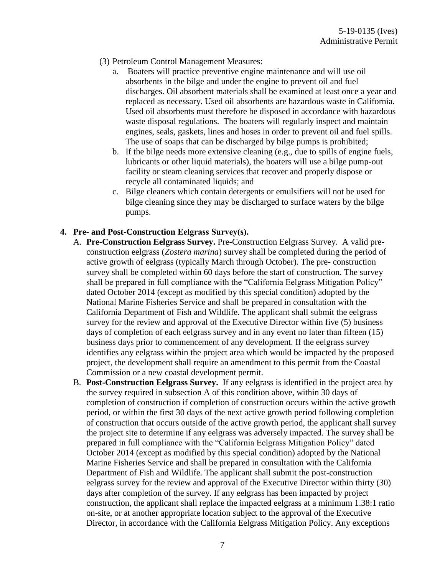- (3) Petroleum Control Management Measures:
	- a. Boaters will practice preventive engine maintenance and will use oil absorbents in the bilge and under the engine to prevent oil and fuel discharges. Oil absorbent materials shall be examined at least once a year and replaced as necessary. Used oil absorbents are hazardous waste in California. Used oil absorbents must therefore be disposed in accordance with hazardous waste disposal regulations. The boaters will regularly inspect and maintain engines, seals, gaskets, lines and hoses in order to prevent oil and fuel spills. The use of soaps that can be discharged by bilge pumps is prohibited;
	- b. If the bilge needs more extensive cleaning (e.g., due to spills of engine fuels, lubricants or other liquid materials), the boaters will use a bilge pump-out facility or steam cleaning services that recover and properly dispose or recycle all contaminated liquids; and
	- c. Bilge cleaners which contain detergents or emulsifiers will not be used for bilge cleaning since they may be discharged to surface waters by the bilge pumps.

### **4. Pre- and Post-Construction Eelgrass Survey(s).**

- A. **Pre-Construction Eelgrass Survey.** Pre-Construction Eelgrass Survey. A valid preconstruction eelgrass (*Zostera marina*) survey shall be completed during the period of active growth of eelgrass (typically March through October). The pre- construction survey shall be completed within 60 days before the start of construction. The survey shall be prepared in full compliance with the "California Eelgrass Mitigation Policy" dated October 2014 (except as modified by this special condition) adopted by the National Marine Fisheries Service and shall be prepared in consultation with the California Department of Fish and Wildlife. The applicant shall submit the eelgrass survey for the review and approval of the Executive Director within five (5) business days of completion of each eelgrass survey and in any event no later than fifteen (15) business days prior to commencement of any development. If the eelgrass survey identifies any eelgrass within the project area which would be impacted by the proposed project, the development shall require an amendment to this permit from the Coastal Commission or a new coastal development permit.
- B. **Post-Construction Eelgrass Survey.** If any eelgrass is identified in the project area by the survey required in subsection A of this condition above, within 30 days of completion of construction if completion of construction occurs within the active growth period, or within the first 30 days of the next active growth period following completion of construction that occurs outside of the active growth period, the applicant shall survey the project site to determine if any eelgrass was adversely impacted. The survey shall be prepared in full compliance with the "California Eelgrass Mitigation Policy" dated October 2014 (except as modified by this special condition) adopted by the National Marine Fisheries Service and shall be prepared in consultation with the California Department of Fish and Wildlife. The applicant shall submit the post-construction eelgrass survey for the review and approval of the Executive Director within thirty (30) days after completion of the survey. If any eelgrass has been impacted by project construction, the applicant shall replace the impacted eelgrass at a minimum 1.38:1 ratio on-site, or at another appropriate location subject to the approval of the Executive Director, in accordance with the California Eelgrass Mitigation Policy. Any exceptions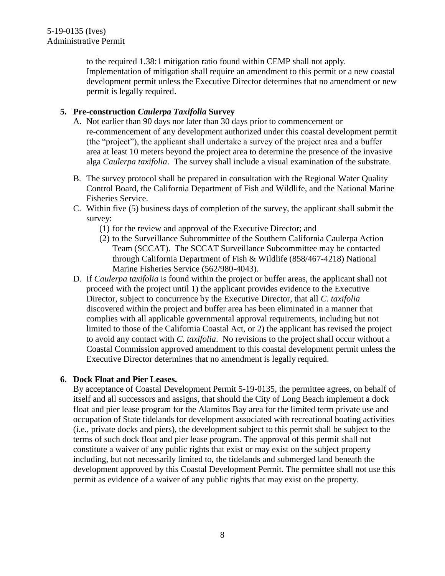to the required 1.38:1 mitigation ratio found within CEMP shall not apply. Implementation of mitigation shall require an amendment to this permit or a new coastal development permit unless the Executive Director determines that no amendment or new permit is legally required.

### **5. Pre-construction** *Caulerpa Taxifolia* **Survey**

- A. Not earlier than 90 days nor later than 30 days prior to commencement or re-commencement of any development authorized under this coastal development permit (the "project"), the applicant shall undertake a survey of the project area and a buffer area at least 10 meters beyond the project area to determine the presence of the invasive alga *Caulerpa taxifolia*. The survey shall include a visual examination of the substrate.
- B. The survey protocol shall be prepared in consultation with the Regional Water Quality Control Board, the California Department of Fish and Wildlife, and the National Marine Fisheries Service.
- C. Within five (5) business days of completion of the survey, the applicant shall submit the survey:
	- (1) for the review and approval of the Executive Director; and
	- (2) to the Surveillance Subcommittee of the Southern California Caulerpa Action Team (SCCAT). The SCCAT Surveillance Subcommittee may be contacted through California Department of Fish & Wildlife (858/467-4218) National Marine Fisheries Service (562/980-4043).
- D. If *Caulerpa taxifolia* is found within the project or buffer areas, the applicant shall not proceed with the project until 1) the applicant provides evidence to the Executive Director, subject to concurrence by the Executive Director, that all *C. taxifolia* discovered within the project and buffer area has been eliminated in a manner that complies with all applicable governmental approval requirements, including but not limited to those of the California Coastal Act, or 2) the applicant has revised the project to avoid any contact with *C. taxifolia*. No revisions to the project shall occur without a Coastal Commission approved amendment to this coastal development permit unless the Executive Director determines that no amendment is legally required.

### **6. Dock Float and Pier Leases.**

By acceptance of Coastal Development Permit 5-19-0135, the permittee agrees, on behalf of itself and all successors and assigns, that should the City of Long Beach implement a dock float and pier lease program for the Alamitos Bay area for the limited term private use and occupation of State tidelands for development associated with recreational boating activities (i.e., private docks and piers), the development subject to this permit shall be subject to the terms of such dock float and pier lease program. The approval of this permit shall not constitute a waiver of any public rights that exist or may exist on the subject property including, but not necessarily limited to, the tidelands and submerged land beneath the development approved by this Coastal Development Permit. The permittee shall not use this permit as evidence of a waiver of any public rights that may exist on the property.